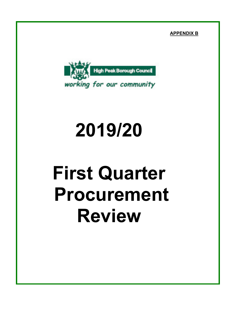**APPENDIX B**



## **2019/20**

# **First Quarter Procurement Review**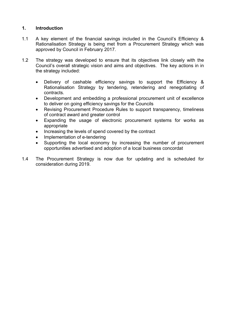#### **1. Introduction**

- 1.1 A key element of the financial savings included in the Council's Efficiency & Rationalisation Strategy is being met from a Procurement Strategy which was approved by Council in February 2017.
- 1.2 The strategy was developed to ensure that its objectives link closely with the Council's overall strategic vision and aims and objectives. The key actions in in the strategy included:
	- Delivery of cashable efficiency savings to support the Efficiency & Rationalisation Strategy by tendering, retendering and renegotiating of contracts.
	- Development and embedding a professional procurement unit of excellence to deliver on going efficiency savings for the Councils
	- Revising Procurement Procedure Rules to support transparency, timeliness of contract award and greater control
	- Expanding the usage of electronic procurement systems for works as appropriate
	- Increasing the levels of spend covered by the contract
	- Implementation of e-tendering
	- Supporting the local economy by increasing the number of procurement opportunities advertised and adoption of a local business concordat
- 1.4 The Procurement Strategy is now due for updating and is scheduled for consideration during 2019.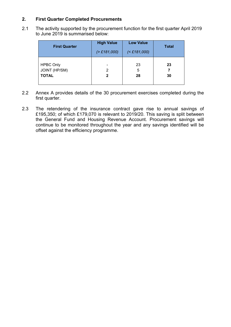#### **2. First Quarter Completed Procurements**

2.1 The activity supported by the procurement function for the first quarter April 2019 to June 2019 is summarised below:

| <b>First Quarter</b>                                     | <b>High Value</b><br>( > £181,000) | <b>Low Value</b><br>$(£181,000)$ | <b>Total</b> |
|----------------------------------------------------------|------------------------------------|----------------------------------|--------------|
| <b>HPBC Only</b><br><b>JOINT (HP/SM)</b><br><b>TOTAL</b> | 2<br>2                             | 23<br>5<br>28                    | 23<br>30     |

- 2.2 Annex A provides details of the 30 procurement exercises completed during the first quarter.
- 2.3 The retendering of the insurance contract gave rise to annual savings of £195,350; of which £179,070 is relevant to 2019/20. This saving is split between the General Fund and Housing Revenue Account. Procurement savings will continue to be monitored throughout the year and any savings identified will be offset against the efficiency programme.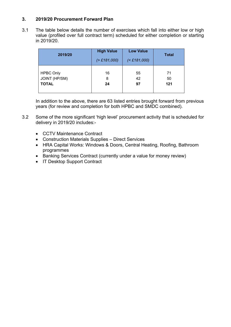#### **3. 2019/20 Procurement Forward Plan**

3.1 The table below details the number of exercises which fall into either low or high value (profiled over full contract term) scheduled for either completion or starting in 2019/20.

| 2019/20              | <b>High Value</b><br>( > £181,000) | <b>Low Value</b><br>( <b>£181,000</b> ) | <b>Total</b> |
|----------------------|------------------------------------|-----------------------------------------|--------------|
| <b>HPBC Only</b>     | 16                                 | 55                                      | 71           |
| <b>JOINT (HP/SM)</b> | 8                                  | 42                                      | 50           |
| <b>TOTAL</b>         | 24                                 | 97                                      | 121          |

In addition to the above, there are 63 listed entries brought forward from previous years (for review and completion for both HPBC and SMDC combined).

- 3.2 Some of the more significant 'high level' procurement activity that is scheduled for delivery in 2019/20 includes:-
	- CCTV Maintenance Contract
	- Construction Materials Supplies Direct Services
	- HRA Capital Works: Windows & Doors, Central Heating, Roofing, Bathroom programmes
	- Banking Services Contract (currently under a value for money review)
	- IT Desktop Support Contract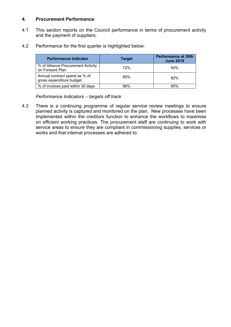#### **4. Procurement Performance**

- 4.1 This section reports on the Council performance in terms of procurement activity and the payment of suppliers.
- 4.2 Performance for the first quarter is highlighted below:

| <b>Performance Indicator</b>                              | <b>Target</b> | <b>Performance at 30th</b><br><b>June 2019</b> |
|-----------------------------------------------------------|---------------|------------------------------------------------|
| % of Alliance Procurement Activity<br>on Forward Plan     | 72%           | 50%                                            |
| Annual contract spend as % of<br>gross expenditure budget | 85%           | 82%                                            |
| % of invoices paid within 30 days                         | 96%           | 95%                                            |

*Performance Indicators – targets off track*

4.3 There is a continuing programme of regular service review meetings to ensure planned activity is captured and monitored on the plan. New processes have been implemented within the creditors function to enhance the workflows to maximise on efficient working practices. The procurement staff are continuing to work with service areas to ensure they are compliant in commissioning supplies, services or works and that internal processes are adhered to.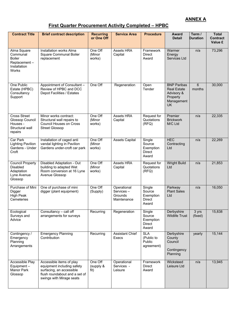#### **ANNEX A**

## **First Quarter Procurement Activity Completed – HPBC**

| <b>Contract Title</b>                                                                    | <b>Brief contract description</b>                                                                                                               | <b>Recurring</b><br>or One Off | <b>Service Area</b>                                | <b>Procedure</b>                                        | Award<br><b>Detail</b>                                                                        | Term /<br>Duration | <b>Total</b><br><b>Contract</b><br>Value £ |
|------------------------------------------------------------------------------------------|-------------------------------------------------------------------------------------------------------------------------------------------------|--------------------------------|----------------------------------------------------|---------------------------------------------------------|-----------------------------------------------------------------------------------------------|--------------------|--------------------------------------------|
| Alma Square<br>Communal<br><b>Boiler</b><br>Replacement-<br>Installation<br><b>Works</b> | Installation works Alma<br>Square Communal Boiler<br>replacement                                                                                | One Off<br>(Minor<br>works)    | Assets HRA<br>Capital                              | Framework<br><b>Direct</b><br>Award                     | Warmer<br>Energy<br>Services Ltd                                                              | n/a                | 73,296                                     |
| One Public<br>Estate (HPBC)<br>Consultancy<br>Support                                    | Appointment of Consultant -<br>Review of HPBC and DCC<br>Depot Facilities / Estates                                                             | One Off                        | Regeneration                                       | Open<br>Tender                                          | <b>BNP Paribas</b><br><b>Real Estate</b><br>Advisory &<br>Property<br>Management<br><b>UK</b> | 6<br>months        | 30,000                                     |
| <b>Cross Street</b><br>Glossop Council<br>Houses -<br>Structural wall<br>repairs         | Minor works contract:<br>Structural wall repairs to<br><b>Council Houses on Cross</b><br><b>Street Glossop</b>                                  | One Off<br>(Minor<br>works)    | Assets HRA<br>Capital                              | Request for<br>Quotations<br>(RFQ)                      | Premier<br><b>Brickwork</b><br>M/C Ltd                                                        | n/a                | 22,335                                     |
| Car Park<br><b>Lighting Pavilion</b><br>Gardens - Under<br>Croft                         | Installation of caged anti<br>vandal lighting in Pavilion<br>Gardens under-croft car park                                                       | One Off<br>(Minor<br>works)    | <b>Assets Capital</b>                              | Single<br>Source<br>Exemption<br><b>Direct</b><br>Award | <b>HEC</b><br>Contracting<br>Ltd                                                              | n/a                | 22,269                                     |
| <b>Council Property</b><br><b>Disabled</b><br>Adaptation<br>Lyne Avenue<br>Glossop       | Disabled Adaptation - Out<br>building to adapted Wet<br>Room conversion at 16 Lyne<br>Avenue Glossop                                            | One Off<br>(Minor<br>works)    | Assets HRA<br>Capital                              | Request for<br>Quotations<br>(RFQ)                      | <b>Wright Build</b><br>Ltd                                                                    | n/a                | 21,853                                     |
| Purchase of Mini<br>Digger<br><b>High Peak</b><br>Cemeteries                             | One of purchase of mini<br>digger (plant equipment)                                                                                             | One Off<br>(Supply)            | Operational<br>Services-<br>Grounds<br>Maintenance | Single<br>Source<br>Exemption<br><b>Direct</b><br>Award | Parkway<br><b>Plant Sales</b><br>Ltd                                                          | n/a                | 16,050                                     |
| Ecological<br>Surveys and<br>Advice                                                      | Consultancy - call off<br>arrangements for surveys                                                                                              | Recurring                      | Regeneration                                       | Single<br>Source<br>Exemption<br>Direct<br>Award        | Derbyshire<br><b>Wildlife Trust</b>                                                           | 3 yrs<br>(fixed)   | 15,838                                     |
| Contingency /<br>Emergency<br>Planning<br>Arrangements                                   | <b>Emergency Planning</b><br>Contribution                                                                                                       | Recurring                      | <b>Assistant Chief</b><br>Execs                    | <b>SLA</b><br>(Public to<br>Public<br>agreement)        | Derbyshire<br>County<br>Council<br>Contingency<br>Planning                                    | yearly             | 15,144                                     |
| Accessible Play<br>Equipment-<br>Manor Park<br>Glossop                                   | Accessible items of play<br>equipment including safety<br>surfacing, an accessible<br>flush roundabout and a set of<br>swings with Mirage seats | One Off<br>(supply &<br>fit)   | Operational<br>Services -<br>Leisure               | Framework<br>Direct<br>Award                            | Wicksteed<br>Leisure Ltd                                                                      | n/a                | 13,945                                     |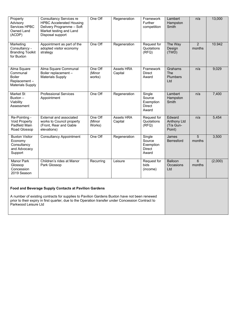| Property<br>Advisory<br>Services HPBC<br>Owned Land<br>(ACDP)                                                                                                                                                              | <b>Consultancy Services re</b><br><b>HPBC Accelerated Housing</b><br>Delivery Programme - Soft<br>Market testing and Land<br>Disposal support | One Off                     | Regeneration                 | Framework<br>Further<br>competition                     | Lambert<br>Hampston<br>Smith                    | n/a                      | 13,000  |
|----------------------------------------------------------------------------------------------------------------------------------------------------------------------------------------------------------------------------|-----------------------------------------------------------------------------------------------------------------------------------------------|-----------------------------|------------------------------|---------------------------------------------------------|-------------------------------------------------|--------------------------|---------|
| Marketing<br>Consultancy -<br><b>Branding Toolkit</b><br>for Buxton                                                                                                                                                        | Appointment as part of the<br>adopted visitor economy<br>strategy                                                                             | One Off                     | Regeneration                 | Request for<br>Quotations<br>(RFQ)                      | The Way<br>Design<br>(TWD)                      | $\overline{2}$<br>months | 10.942  |
| Alma Square<br>Communal<br><b>Boiler</b><br>Replacement-<br><b>Materials Supply</b>                                                                                                                                        | Alma Square Communal<br>Boiler replacement -<br><b>Materials Supply</b>                                                                       | One Off<br>(Minor<br>works) | <b>Assets HRA</b><br>Capital | Framework<br><b>Direct</b><br>Award                     | Grahams<br><b>The</b><br><b>Plumbers</b><br>Ltd | n/a                      | 9,029   |
| Market St<br>Buxton-<br>Viability<br>Assessment                                                                                                                                                                            | <b>Professional Services</b><br>Appointment                                                                                                   | One Off                     | Regeneration                 | Single<br>Source<br>Exemption<br><b>Direct</b><br>Award | Lambert<br>Hampston<br>Smith                    | n/a                      | 7,400   |
| Re-Pointing -<br>Void Property<br>Padfield Main<br>Road Glossop                                                                                                                                                            | External and associated<br>works to Council property<br>(Front, Rear and Gable<br>elevations)                                                 | One Off<br>(Minor<br>Works) | Assets HRA<br>Capital        | Request for<br>Quotations<br>(RFQ)                      | Edward<br>Anthony Ltd<br>(T/a Gun-<br>Point)    | n/a                      | 5,454   |
| <b>Buxton Visitor</b><br>Economy<br>Consultancy<br>and Advocacy<br>Support                                                                                                                                                 | <b>Consultancy Appointment</b>                                                                                                                | One Off                     | Regeneration                 | Single<br>Source<br>Exemption<br><b>Direct</b><br>Award | James<br>Berresford                             | 5<br>months              | 3,500   |
| <b>Manor Park</b><br>Glossop<br>Concession<br>2019 Season                                                                                                                                                                  | Children's rides at Manor<br>Park Glossop                                                                                                     | Recurring                   | Leisure                      | Request for<br>bids<br>(income)                         | <b>Balloon</b><br>Occasions<br>Ltd              | 6<br>months              | (2,000) |
| Food and Beverage Supply Contacts at Pavilion Gardens                                                                                                                                                                      |                                                                                                                                               |                             |                              |                                                         |                                                 |                          |         |
| A number of existing contracts for supplies to Pavilion Gardens Buxton have not been renewed<br>prior to their expiry in first quarter, due to the Operation transfer under Concession Contract to<br>Parkwood Leisure Ltd |                                                                                                                                               |                             |                              |                                                         |                                                 |                          |         |